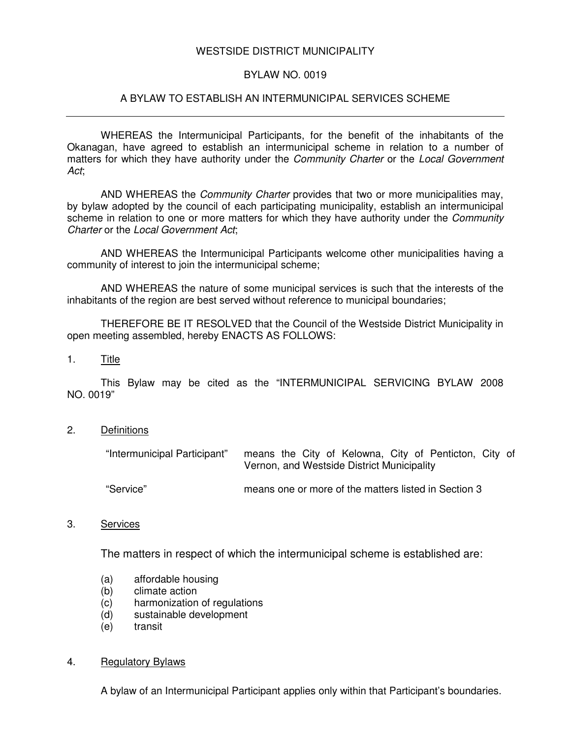# WESTSIDE DISTRICT MUNICIPALITY

#### BYLAW NO. 0019

### A BYLAW TO ESTABLISH AN INTERMUNICIPAL SERVICES SCHEME

WHEREAS the Intermunicipal Participants, for the benefit of the inhabitants of the Okanagan, have agreed to establish an intermunicipal scheme in relation to a number of matters for which they have authority under the *Community Charter* or the *Local Government Act*;

AND WHEREAS the *Community Charter* provides that two or more municipalities may, by bylaw adopted by the council of each participating municipality, establish an intermunicipal scheme in relation to one or more matters for which they have authority under the *Community Charter* or the *Local Government Act*;

AND WHEREAS the Intermunicipal Participants welcome other municipalities having a community of interest to join the intermunicipal scheme;

AND WHEREAS the nature of some municipal services is such that the interests of the inhabitants of the region are best served without reference to municipal boundaries;

THEREFORE BE IT RESOLVED that the Council of the Westside District Municipality in open meeting assembled, hereby ENACTS AS FOLLOWS:

1. Title

This Bylaw may be cited as the "INTERMUNICIPAL SERVICING BYLAW 2008 NO. 0019"

2. Definitions

| "Intermunicipal Participant" | means the City of Kelowna, City of Penticton, City of<br>Vernon, and Westside District Municipality |
|------------------------------|-----------------------------------------------------------------------------------------------------|
| "Service"                    | means one or more of the matters listed in Section 3                                                |

3. Services

The matters in respect of which the intermunicipal scheme is established are:

- (a) affordable housing
- (b) climate action
- (c) harmonization of regulations<br>(d) sustainable development
- sustainable development
- (e) transit

#### 4. Regulatory Bylaws

A bylaw of an Intermunicipal Participant applies only within that Participant's boundaries.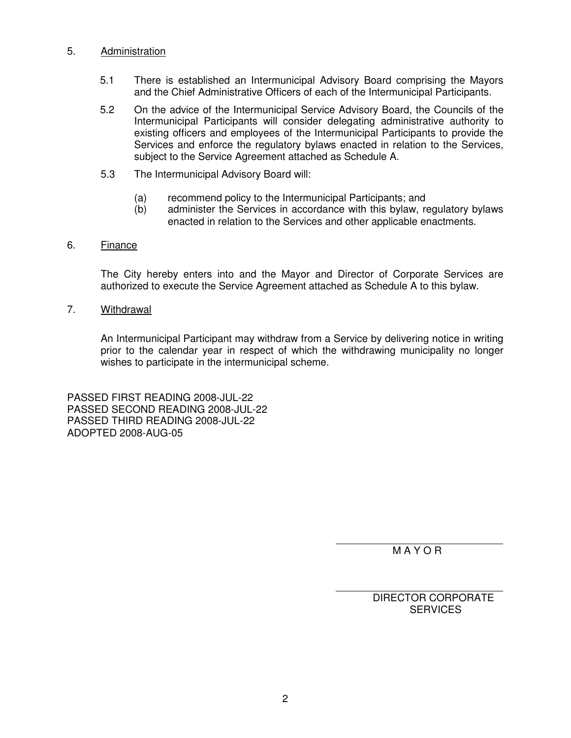### 5. Administration

- 5.1 There is established an Intermunicipal Advisory Board comprising the Mayors and the Chief Administrative Officers of each of the Intermunicipal Participants.
- 5.2 On the advice of the Intermunicipal Service Advisory Board, the Councils of the Intermunicipal Participants will consider delegating administrative authority to existing officers and employees of the Intermunicipal Participants to provide the Services and enforce the regulatory bylaws enacted in relation to the Services, subject to the Service Agreement attached as Schedule A.
- 5.3 The Intermunicipal Advisory Board will:
	- (a) recommend policy to the Intermunicipal Participants; and
	- (b) administer the Services in accordance with this bylaw, regulatory bylaws enacted in relation to the Services and other applicable enactments.

# 6. Finance

The City hereby enters into and the Mayor and Director of Corporate Services are authorized to execute the Service Agreement attached as Schedule A to this bylaw.

7. Withdrawal

An Intermunicipal Participant may withdraw from a Service by delivering notice in writing prior to the calendar year in respect of which the withdrawing municipality no longer wishes to participate in the intermunicipal scheme.

PASSED FIRST READING 2008-JUL-22 PASSED SECOND READING 2008-JUL-22 PASSED THIRD READING 2008-JUL-22 ADOPTED 2008-AUG-05

M A Y O R

DIRECTOR CORPORATE **SERVICES**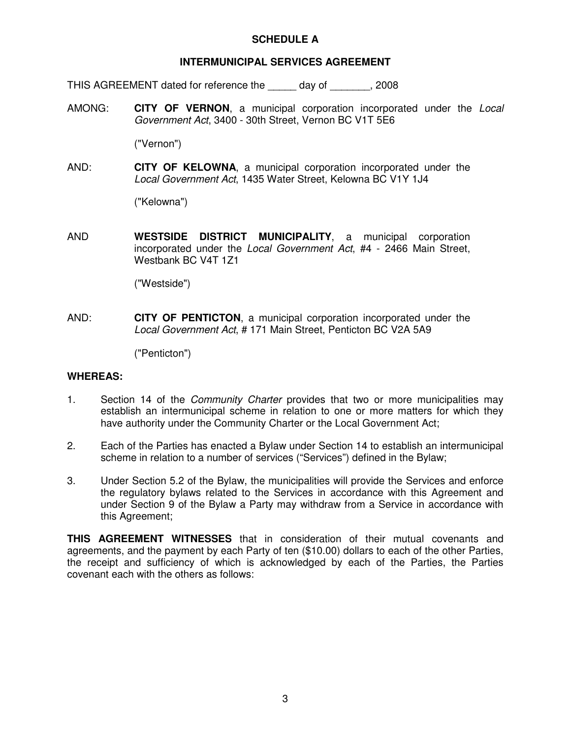# **SCHEDULE A**

# **INTERMUNICIPAL SERVICES AGREEMENT**

THIS AGREEMENT dated for reference the \_\_\_\_\_ day of \_\_\_\_\_\_\_, 2008

AMONG: **CITY OF VERNON**, a municipal corporation incorporated under the *Local Government Act*, 3400 - 30th Street, Vernon BC V1T 5E6

("Vernon")

AND: **CITY OF KELOWNA**, a municipal corporation incorporated under the *Local Government Act*, 1435 Water Street, Kelowna BC V1Y 1J4

("Kelowna")

AND **WESTSIDE DISTRICT MUNICIPALITY**, a municipal corporation incorporated under the *Local Government Act*, #4 - 2466 Main Street, Westbank BC V4T 1Z1

("Westside")

AND: **CITY OF PENTICTON**, a municipal corporation incorporated under the *Local Government Act*, # 171 Main Street, Penticton BC V2A 5A9

("Penticton")

#### **WHEREAS:**

- 1. Section 14 of the *Community Charter* provides that two or more municipalities may establish an intermunicipal scheme in relation to one or more matters for which they have authority under the Community Charter or the Local Government Act;
- 2. Each of the Parties has enacted a Bylaw under Section 14 to establish an intermunicipal scheme in relation to a number of services ("Services") defined in the Bylaw;
- 3. Under Section 5.2 of the Bylaw, the municipalities will provide the Services and enforce the regulatory bylaws related to the Services in accordance with this Agreement and under Section 9 of the Bylaw a Party may withdraw from a Service in accordance with this Agreement;

**THIS AGREEMENT WITNESSES** that in consideration of their mutual covenants and agreements, and the payment by each Party of ten (\$10.00) dollars to each of the other Parties, the receipt and sufficiency of which is acknowledged by each of the Parties, the Parties covenant each with the others as follows: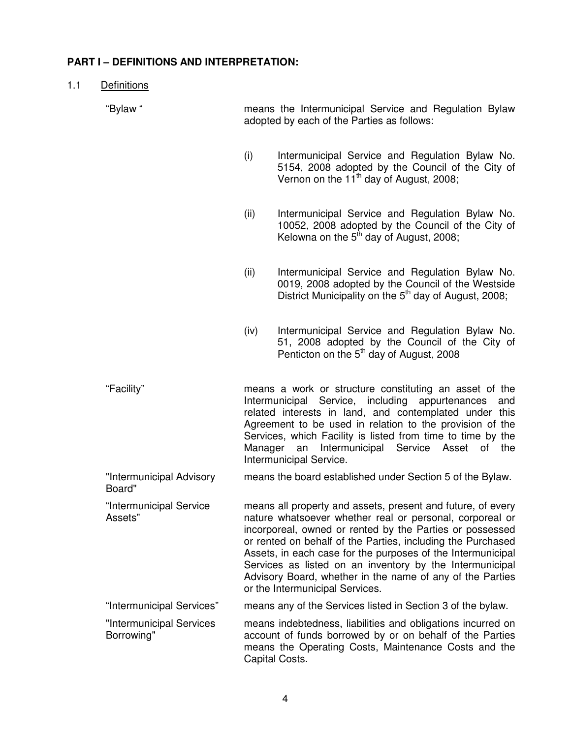# **PART I – DEFINITIONS AND INTERPRETATION:**

1.1 Definitions

"Bylaw " means the Intermunicipal Service and Regulation Bylaw adopted by each of the Parties as follows:

- (i) Intermunicipal Service and Regulation Bylaw No. 5154, 2008 adopted by the Council of the City of Vernon on the  $11^{th}$  day of August, 2008;
- (ii) Intermunicipal Service and Regulation Bylaw No. 10052, 2008 adopted by the Council of the City of Kelowna on the  $5<sup>th</sup>$  day of August, 2008;
- (ii) Intermunicipal Service and Regulation Bylaw No. 0019, 2008 adopted by the Council of the Westside District Municipality on the 5<sup>th</sup> day of August, 2008;
- (iv) Intermunicipal Service and Regulation Bylaw No. 51, 2008 adopted by the Council of the City of Penticton on the  $5<sup>th</sup>$  day of August, 2008

"Facility" means a work or structure constituting an asset of the Intermunicipal Service, including appurtenances and related interests in land, and contemplated under this Agreement to be used in relation to the provision of the Services, which Facility is listed from time to time by the Manager an Intermunicipal Service Asset of the Intermunicipal Service.

"Intermunicipal Advisory Board" means the board established under Section 5 of the Bylaw.

"Intermunicipal Service Assets" means all property and assets, present and future, of every nature whatsoever whether real or personal, corporeal or incorporeal, owned or rented by the Parties or possessed or rented on behalf of the Parties, including the Purchased Assets, in each case for the purposes of the Intermunicipal Services as listed on an inventory by the Intermunicipal Advisory Board, whether in the name of any of the Parties or the Intermunicipal Services.

"Intermunicipal Services" means any of the Services listed in Section 3 of the bylaw.

"Intermunicipal Services Borrowing" means indebtedness, liabilities and obligations incurred on account of funds borrowed by or on behalf of the Parties means the Operating Costs, Maintenance Costs and the Capital Costs.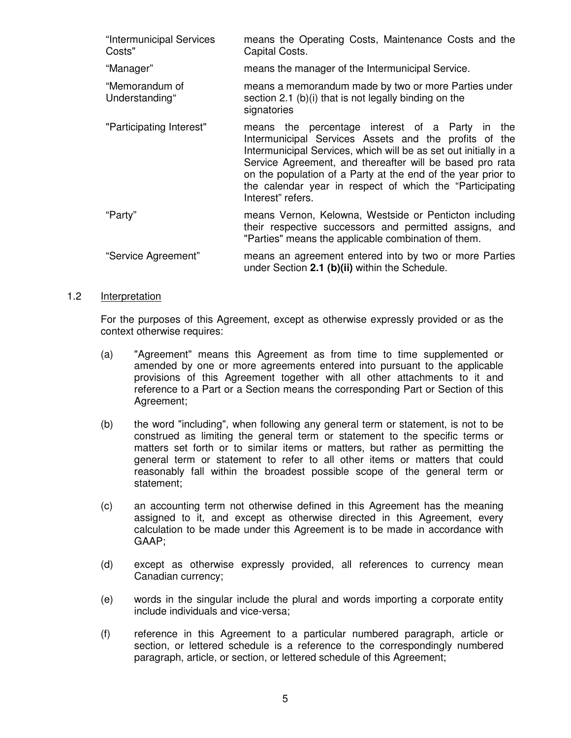| "Intermunicipal Services<br>Costs" | means the Operating Costs, Maintenance Costs and the<br>Capital Costs.                                                                                                                                                                                                                                                                                                                     |
|------------------------------------|--------------------------------------------------------------------------------------------------------------------------------------------------------------------------------------------------------------------------------------------------------------------------------------------------------------------------------------------------------------------------------------------|
| "Manager"                          | means the manager of the Intermunicipal Service.                                                                                                                                                                                                                                                                                                                                           |
| "Memorandum of<br>Understanding"   | means a memorandum made by two or more Parties under<br>section 2.1 (b)(i) that is not legally binding on the<br>signatories                                                                                                                                                                                                                                                               |
| "Participating Interest"           | means the percentage interest of a Party in the<br>Intermunicipal Services Assets and the profits of the<br>Intermunicipal Services, which will be as set out initially in a<br>Service Agreement, and thereafter will be based pro rata<br>on the population of a Party at the end of the year prior to<br>the calendar year in respect of which the "Participating"<br>Interest" refers. |
| "Party"                            | means Vernon, Kelowna, Westside or Penticton including<br>their respective successors and permitted assigns, and<br>"Parties" means the applicable combination of them.                                                                                                                                                                                                                    |
| "Service Agreement"                | means an agreement entered into by two or more Parties<br>under Section 2.1 (b)(ii) within the Schedule.                                                                                                                                                                                                                                                                                   |

#### 1.2 Interpretation

For the purposes of this Agreement, except as otherwise expressly provided or as the context otherwise requires:

- (a) "Agreement" means this Agreement as from time to time supplemented or amended by one or more agreements entered into pursuant to the applicable provisions of this Agreement together with all other attachments to it and reference to a Part or a Section means the corresponding Part or Section of this Agreement:
- (b) the word "including", when following any general term or statement, is not to be construed as limiting the general term or statement to the specific terms or matters set forth or to similar items or matters, but rather as permitting the general term or statement to refer to all other items or matters that could reasonably fall within the broadest possible scope of the general term or statement;
- (c) an accounting term not otherwise defined in this Agreement has the meaning assigned to it, and except as otherwise directed in this Agreement, every calculation to be made under this Agreement is to be made in accordance with GAAP;
- (d) except as otherwise expressly provided, all references to currency mean Canadian currency;
- (e) words in the singular include the plural and words importing a corporate entity include individuals and vice-versa;
- (f) reference in this Agreement to a particular numbered paragraph, article or section, or lettered schedule is a reference to the correspondingly numbered paragraph, article, or section, or lettered schedule of this Agreement;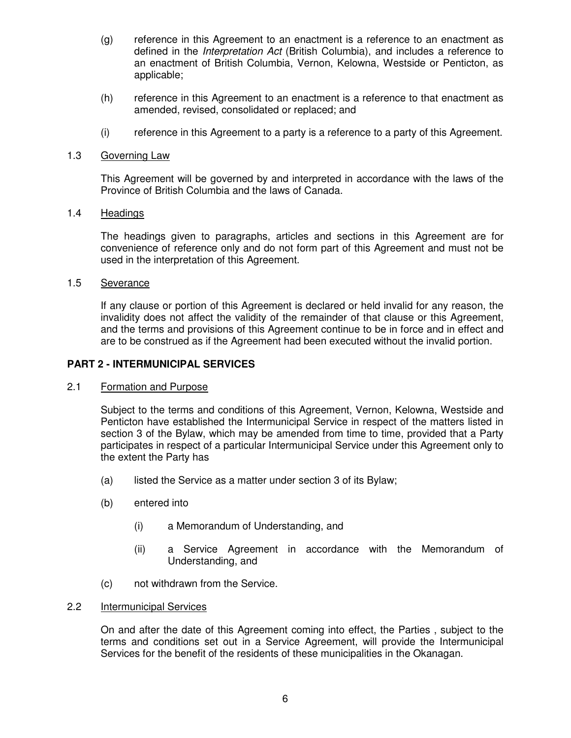- (g) reference in this Agreement to an enactment is a reference to an enactment as defined in the *Interpretation Act* (British Columbia), and includes a reference to an enactment of British Columbia, Vernon, Kelowna, Westside or Penticton, as applicable;
- (h) reference in this Agreement to an enactment is a reference to that enactment as amended, revised, consolidated or replaced; and
- (i) reference in this Agreement to a party is a reference to a party of this Agreement.

#### 1.3 Governing Law

This Agreement will be governed by and interpreted in accordance with the laws of the Province of British Columbia and the laws of Canada.

#### 1.4 Headings

The headings given to paragraphs, articles and sections in this Agreement are for convenience of reference only and do not form part of this Agreement and must not be used in the interpretation of this Agreement.

#### 1.5 Severance

If any clause or portion of this Agreement is declared or held invalid for any reason, the invalidity does not affect the validity of the remainder of that clause or this Agreement, and the terms and provisions of this Agreement continue to be in force and in effect and are to be construed as if the Agreement had been executed without the invalid portion.

### **PART 2 - INTERMUNICIPAL SERVICES**

#### 2.1 Formation and Purpose

Subject to the terms and conditions of this Agreement, Vernon, Kelowna, Westside and Penticton have established the Intermunicipal Service in respect of the matters listed in section 3 of the Bylaw, which may be amended from time to time, provided that a Party participates in respect of a particular Intermunicipal Service under this Agreement only to the extent the Party has

- (a) listed the Service as a matter under section 3 of its Bylaw;
- (b) entered into
	- (i) a Memorandum of Understanding, and
	- (ii) a Service Agreement in accordance with the Memorandum of Understanding, and
- (c) not withdrawn from the Service.

# 2.2 Intermunicipal Services

On and after the date of this Agreement coming into effect, the Parties , subject to the terms and conditions set out in a Service Agreement, will provide the Intermunicipal Services for the benefit of the residents of these municipalities in the Okanagan.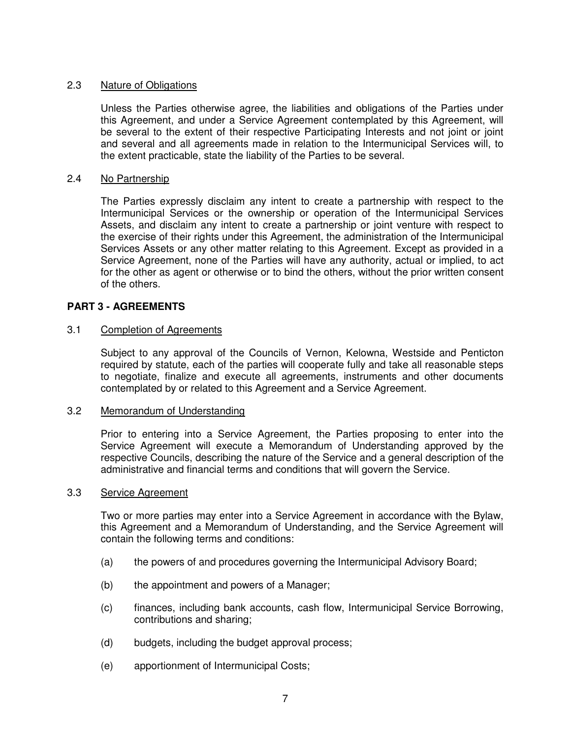# 2.3 Nature of Obligations

Unless the Parties otherwise agree, the liabilities and obligations of the Parties under this Agreement, and under a Service Agreement contemplated by this Agreement, will be several to the extent of their respective Participating Interests and not joint or joint and several and all agreements made in relation to the Intermunicipal Services will, to the extent practicable, state the liability of the Parties to be several.

### 2.4 No Partnership

The Parties expressly disclaim any intent to create a partnership with respect to the Intermunicipal Services or the ownership or operation of the Intermunicipal Services Assets, and disclaim any intent to create a partnership or joint venture with respect to the exercise of their rights under this Agreement, the administration of the Intermunicipal Services Assets or any other matter relating to this Agreement. Except as provided in a Service Agreement, none of the Parties will have any authority, actual or implied, to act for the other as agent or otherwise or to bind the others, without the prior written consent of the others.

### **PART 3 - AGREEMENTS**

### 3.1 Completion of Agreements

Subject to any approval of the Councils of Vernon, Kelowna, Westside and Penticton required by statute, each of the parties will cooperate fully and take all reasonable steps to negotiate, finalize and execute all agreements, instruments and other documents contemplated by or related to this Agreement and a Service Agreement.

### 3.2 Memorandum of Understanding

Prior to entering into a Service Agreement, the Parties proposing to enter into the Service Agreement will execute a Memorandum of Understanding approved by the respective Councils, describing the nature of the Service and a general description of the administrative and financial terms and conditions that will govern the Service.

### 3.3 Service Agreement

Two or more parties may enter into a Service Agreement in accordance with the Bylaw, this Agreement and a Memorandum of Understanding, and the Service Agreement will contain the following terms and conditions:

- (a) the powers of and procedures governing the Intermunicipal Advisory Board;
- (b) the appointment and powers of a Manager;
- (c) finances, including bank accounts, cash flow, Intermunicipal Service Borrowing, contributions and sharing;
- (d) budgets, including the budget approval process;
- (e) apportionment of Intermunicipal Costs;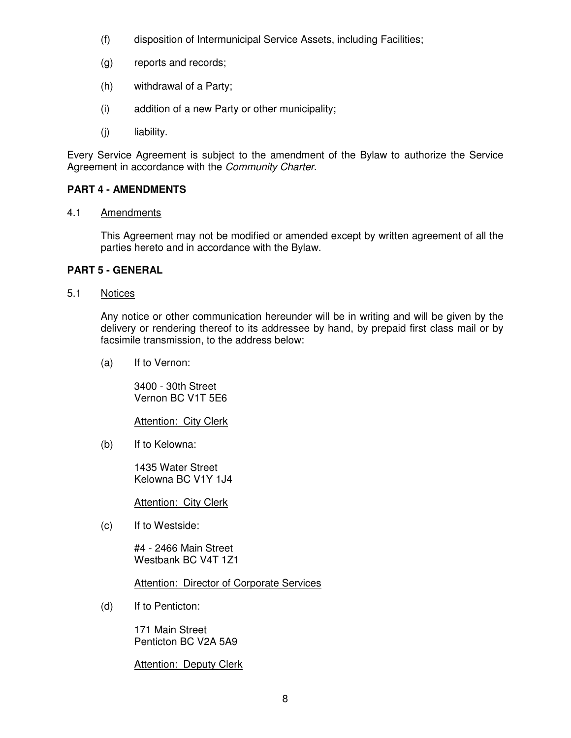- (f) disposition of Intermunicipal Service Assets, including Facilities;
- (g) reports and records;
- (h) withdrawal of a Party;
- (i) addition of a new Party or other municipality;
- (j) liability.

Every Service Agreement is subject to the amendment of the Bylaw to authorize the Service Agreement in accordance with the *Community Charter*.

# **PART 4 - AMENDMENTS**

### 4.1 Amendments

This Agreement may not be modified or amended except by written agreement of all the parties hereto and in accordance with the Bylaw.

# **PART 5 - GENERAL**

5.1 Notices

Any notice or other communication hereunder will be in writing and will be given by the delivery or rendering thereof to its addressee by hand, by prepaid first class mail or by facsimile transmission, to the address below:

(a) If to Vernon:

3400 - 30th Street Vernon BC V1T 5E6

**Attention: City Clerk** 

(b) If to Kelowna:

1435 Water Street Kelowna BC V1Y 1J4

**Attention: City Clerk** 

(c) If to Westside:

#4 - 2466 Main Street Westbank BC V4T 1Z1

**Attention: Director of Corporate Services** 

(d) If to Penticton:

171 Main Street Penticton BC V2A 5A9

**Attention: Deputy Clerk**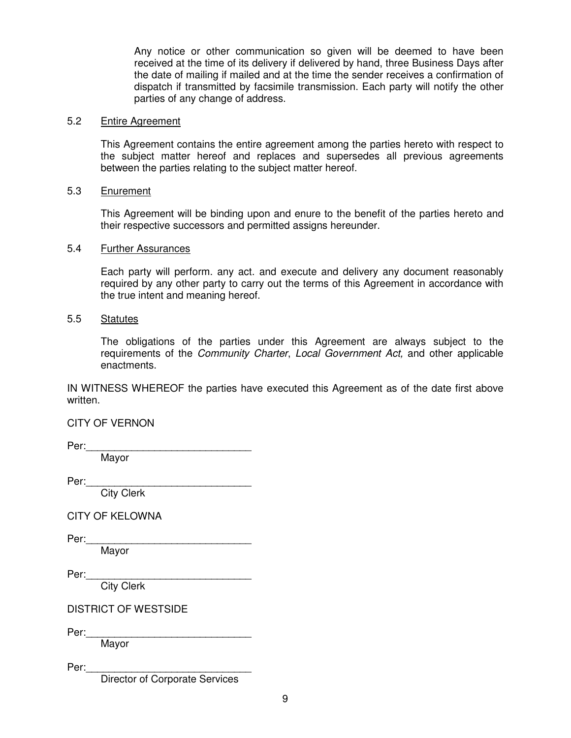Any notice or other communication so given will be deemed to have been received at the time of its delivery if delivered by hand, three Business Days after the date of mailing if mailed and at the time the sender receives a confirmation of dispatch if transmitted by facsimile transmission. Each party will notify the other parties of any change of address.

#### 5.2 Entire Agreement

This Agreement contains the entire agreement among the parties hereto with respect to the subject matter hereof and replaces and supersedes all previous agreements between the parties relating to the subject matter hereof.

#### 5.3 Enurement

This Agreement will be binding upon and enure to the benefit of the parties hereto and their respective successors and permitted assigns hereunder.

#### 5.4 Further Assurances

Each party will perform. any act. and execute and delivery any document reasonably required by any other party to carry out the terms of this Agreement in accordance with the true intent and meaning hereof.

#### 5.5 Statutes

The obligations of the parties under this Agreement are always subject to the requirements of the *Community Charter*, *Local Government Act,* and other applicable enactments.

IN WITNESS WHEREOF the parties have executed this Agreement as of the date first above written.

CITY OF VERNON

 $Per:$ Mayor

Per:

City Clerk

CITY OF KELOWNA

Per:

Mayor

Per:

City Clerk

DISTRICT OF WESTSIDE

Per:

Mayor

Per:

Director of Corporate Services